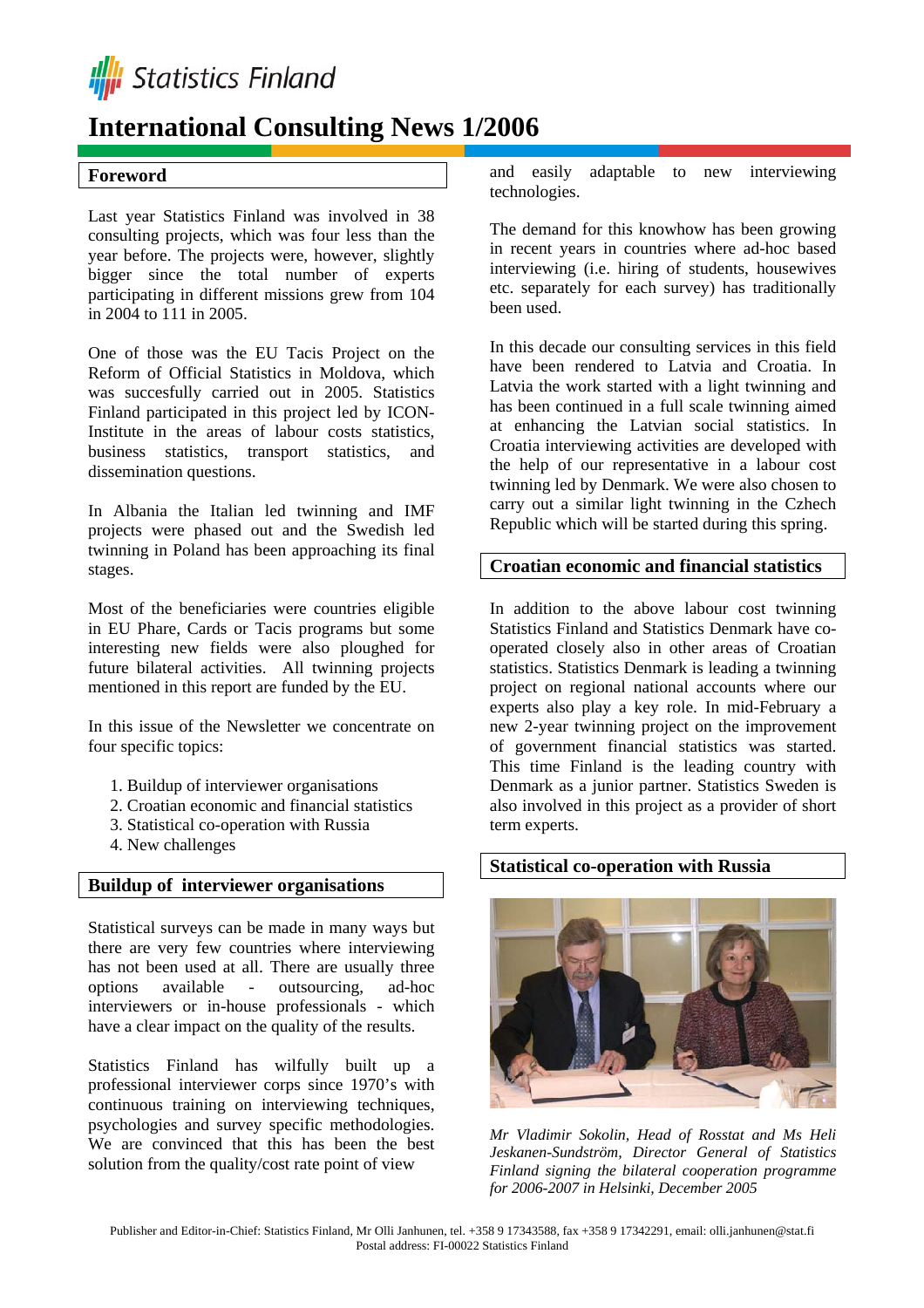

# **International Consulting News 1/2006**

### **Foreword**

Last year Statistics Finland was involved in 38 consulting projects, which was four less than the year before. The projects were, however, slightly bigger since the total number of experts participating in different missions grew from 104 in 2004 to 111 in 2005.

One of those was the EU Tacis Project on the Reform of Official Statistics in Moldova, which was succesfully carried out in 2005. Statistics Finland participated in this project led by ICON-Institute in the areas of labour costs statistics, business statistics, transport statistics, and dissemination questions.

In Albania the Italian led twinning and IMF projects were phased out and the Swedish led twinning in Poland has been approaching its final stages.

Most of the beneficiaries were countries eligible in EU Phare, Cards or Tacis programs but some interesting new fields were also ploughed for future bilateral activities. All twinning projects mentioned in this report are funded by the EU.

In this issue of the Newsletter we concentrate on four specific topics:

- 1. Buildup of interviewer organisations
- 2. Croatian economic and financial statistics
- 3. Statistical co-operation with Russia
- 4. New challenges

#### **Buildup of interviewer organisations**

Statistical surveys can be made in many ways but there are very few countries where interviewing has not been used at all. There are usually three options available - outsourcing, ad-hoc interviewers or in-house professionals - which have a clear impact on the quality of the results.

Statistics Finland has wilfully built up a professional interviewer corps since 1970's with continuous training on interviewing techniques, psychologies and survey specific methodologies. We are convinced that this has been the best solution from the quality/cost rate point of view

and easily adaptable to new interviewing technologies.

The demand for this knowhow has been growing in recent years in countries where ad-hoc based interviewing (i.e. hiring of students, housewives etc. separately for each survey) has traditionally been used.

In this decade our consulting services in this field have been rendered to Latvia and Croatia. In Latvia the work started with a light twinning and has been continued in a full scale twinning aimed at enhancing the Latvian social statistics. In Croatia interviewing activities are developed with the help of our representative in a labour cost twinning led by Denmark. We were also chosen to carry out a similar light twinning in the Czhech Republic which will be started during this spring.

## **Croatian economic and financial statistics**

In addition to the above labour cost twinning Statistics Finland and Statistics Denmark have cooperated closely also in other areas of Croatian statistics. Statistics Denmark is leading a twinning project on regional national accounts where our experts also play a key role. In mid-February a new 2-year twinning project on the improvement of government financial statistics was started. This time Finland is the leading country with Denmark as a junior partner. Statistics Sweden is also involved in this project as a provider of short term experts.

# **Statistical co-operation with Russia**



*Mr Vladimir Sokolin, Head of Rosstat and Ms Heli Jeskanen-Sundström, Director General of Statistics Finland signing the bilateral cooperation programme for 2006-2007 in Helsinki, December 2005*